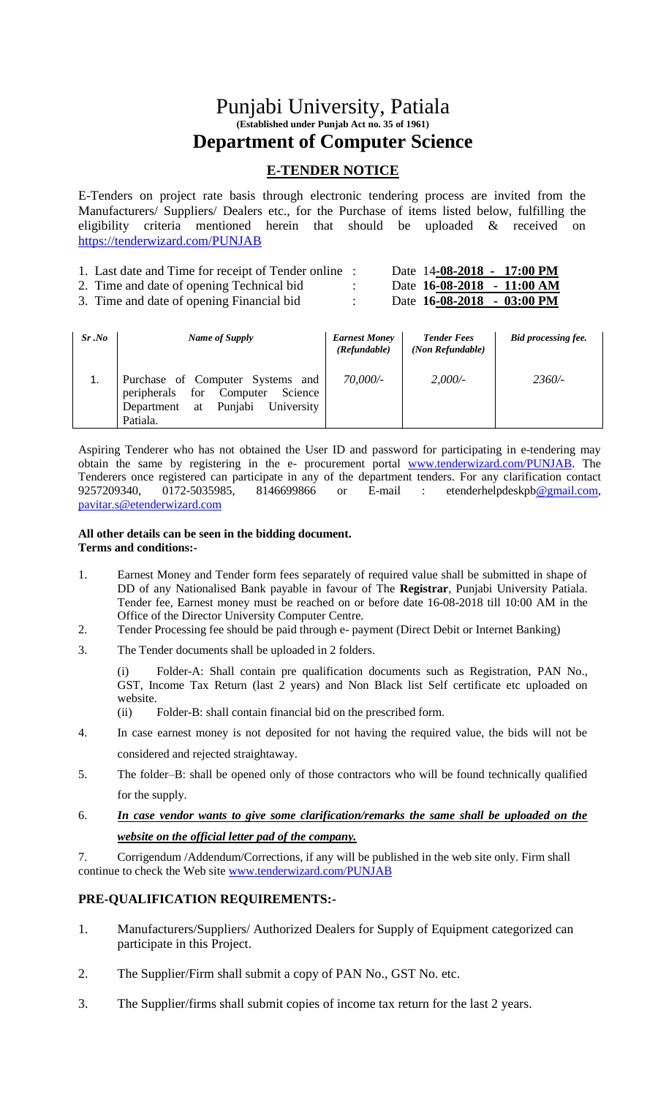# Punjabi University, Patiala **(Established under Punjab Act no. 35 of 1961) Department of Computer Science**

## **E-TENDER NOTICE**

E-Tenders on project rate basis through electronic tendering process are invited from the Manufacturers/ Suppliers/ Dealers etc., for the Purchase of items listed below, fulfilling the eligibility criteria mentioned herein that should be uploaded & received on <https://tenderwizard.com/PUNJAB>

| 1. Last date and Time for receipt of Tender online : |  | Date 14-08-2018 - 17:00 PM           |  |
|------------------------------------------------------|--|--------------------------------------|--|
| 2. Time and date of opening Technical bid            |  | Date 16-08-2018 - 11:00 AM           |  |
| 3. Time and date of opening Financial bid.           |  | Date $16-08-2018 - 03:00 \text{ PM}$ |  |

| Sr.No | Name of Supply                                                                                                                         | <b>Earnest Money</b><br>(Refundable) | <b>Tender Fees</b><br>(Non Refundable) | Bid processing fee. |
|-------|----------------------------------------------------------------------------------------------------------------------------------------|--------------------------------------|----------------------------------------|---------------------|
| 1.    | Purchase of Computer Systems and<br>peripherals<br>for<br>Computer<br>Science<br>Punjabi<br>University<br>Department<br>at<br>Patiala. | $70,000/$ -                          | 2,000/                                 | $2360/-$            |

Aspiring Tenderer who has not obtained the User ID and password for participating in e-tendering may obtain the same by registering in the e- procurement portal [www.tenderwizard.com/PUNJAB.](http://www.tenderwizard.com/PUNJAB) The Tenderers once registered can participate in any of the department tenders. For any clarification contact 9257209340, 0172-5035985, 8146699866 or E-mail : etenderhelpdeskpb@gmail.com, 9257209340, 0172-5035985, 8146699866 or E-mail : etenderhelpdeskp[b@gmail.com,](mailto:@gmail.com) [pavitar.s@etenderwizard.com](mailto:pavitar.s@etenderwizard.com)

#### **All other details can be seen in the bidding document. Terms and conditions:-**

- 1. Earnest Money and Tender form fees separately of required value shall be submitted in shape of DD of any Nationalised Bank payable in favour of The **Registrar**, Punjabi University Patiala. Tender fee, Earnest money must be reached on or before date 16-08-2018 till 10:00 AM in the Office of the Director University Computer Centre.
- 2. Tender Processing fee should be paid through e- payment (Direct Debit or Internet Banking)
- 3. The Tender documents shall be uploaded in 2 folders.

(i) Folder-A: Shall contain pre qualification documents such as Registration, PAN No., GST, Income Tax Return (last 2 years) and Non Black list Self certificate etc uploaded on website.

- (ii) Folder-B: shall contain financial bid on the prescribed form.
- 4. In case earnest money is not deposited for not having the required value, the bids will not be considered and rejected straightaway.
- 5. The folder–B: shall be opened only of those contractors who will be found technically qualified for the supply.
- 6. *In case vendor wants to give some clarification/remarks the same shall be uploaded on the website on the official letter pad of the company.*

7. Corrigendum /Addendum/Corrections, if any will be published in the web site only. Firm shall continue to check the Web site [www.tenderwizard.com/PUNJAB](http://www.tenderwizard.com/PUNJAB)

### **PRE-QUALIFICATION REQUIREMENTS:-**

- 1. Manufacturers/Suppliers/ Authorized Dealers for Supply of Equipment categorized can participate in this Project.
- 2. The Supplier/Firm shall submit a copy of PAN No., GST No. etc.
- 3. The Supplier/firms shall submit copies of income tax return for the last 2 years.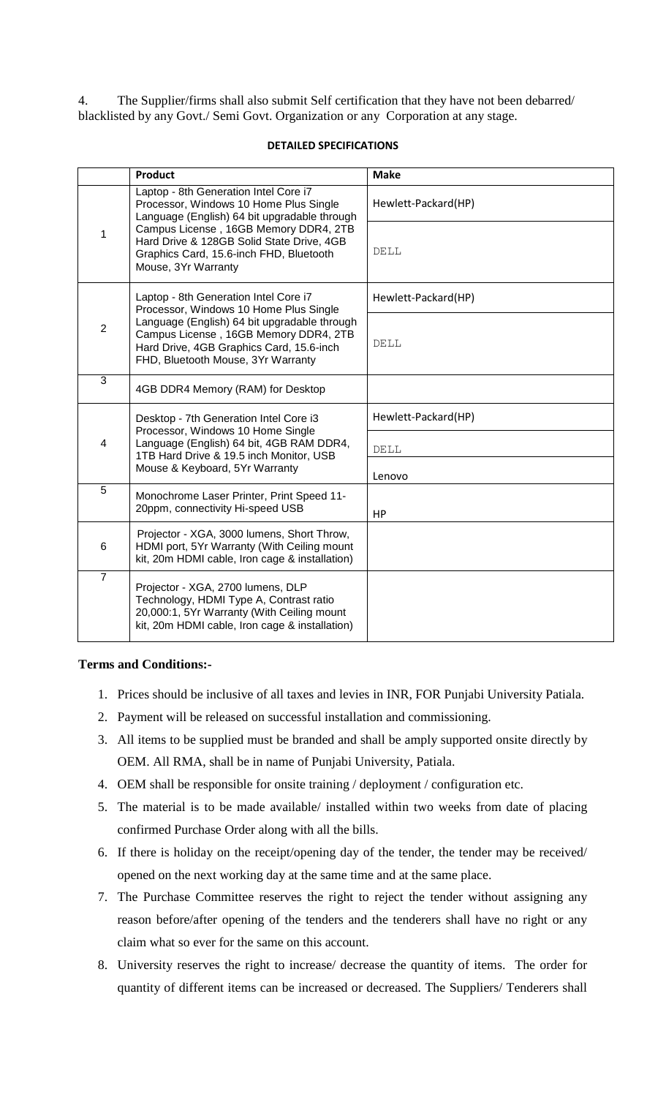4. The Supplier/firms shall also submit Self certification that they have not been debarred/ blacklisted by any Govt./ Semi Govt. Organization or any Corporation at any stage.

### **DETAILED SPECIFICATIONS**

|                | <b>Product</b>                                                                                                                                                                                                                                                                          | <b>Make</b>         |  |  |
|----------------|-----------------------------------------------------------------------------------------------------------------------------------------------------------------------------------------------------------------------------------------------------------------------------------------|---------------------|--|--|
|                | Laptop - 8th Generation Intel Core i7<br>Processor, Windows 10 Home Plus Single<br>Language (English) 64 bit upgradable through<br>Campus License, 16GB Memory DDR4, 2TB<br>Hard Drive & 128GB Solid State Drive, 4GB<br>Graphics Card, 15.6-inch FHD, Bluetooth<br>Mouse, 3Yr Warranty | Hewlett-Packard(HP) |  |  |
| 1              |                                                                                                                                                                                                                                                                                         | DELL                |  |  |
|                | Laptop - 8th Generation Intel Core i7<br>Processor, Windows 10 Home Plus Single<br>Language (English) 64 bit upgradable through<br>Campus License, 16GB Memory DDR4, 2TB<br>Hard Drive, 4GB Graphics Card, 15.6-inch<br>FHD, Bluetooth Mouse, 3Yr Warranty                              | Hewlett-Packard(HP) |  |  |
| $\overline{2}$ |                                                                                                                                                                                                                                                                                         | DELL                |  |  |
| 3              | 4GB DDR4 Memory (RAM) for Desktop                                                                                                                                                                                                                                                       |                     |  |  |
|                | Desktop - 7th Generation Intel Core i3<br>Processor, Windows 10 Home Single<br>Language (English) 64 bit, 4GB RAM DDR4,<br>1TB Hard Drive & 19.5 inch Monitor, USB<br>Mouse & Keyboard, 5Yr Warranty                                                                                    | Hewlett-Packard(HP) |  |  |
| $\overline{4}$ |                                                                                                                                                                                                                                                                                         | DELL                |  |  |
|                |                                                                                                                                                                                                                                                                                         | Lenovo              |  |  |
| 5              | Monochrome Laser Printer, Print Speed 11-<br>20ppm, connectivity Hi-speed USB                                                                                                                                                                                                           | HP                  |  |  |
| 6              | Projector - XGA, 3000 lumens, Short Throw,<br>HDMI port, 5Yr Warranty (With Ceiling mount<br>kit, 20m HDMI cable, Iron cage & installation)                                                                                                                                             |                     |  |  |
| $\overline{7}$ | Projector - XGA, 2700 lumens, DLP<br>Technology, HDMI Type A, Contrast ratio<br>20,000:1, 5Yr Warranty (With Ceiling mount<br>kit, 20m HDMI cable, Iron cage & installation)                                                                                                            |                     |  |  |

### **Terms and Conditions:-**

- 1. Prices should be inclusive of all taxes and levies in INR, FOR Punjabi University Patiala.
- 2. Payment will be released on successful installation and commissioning.
- 3. All items to be supplied must be branded and shall be amply supported onsite directly by OEM. All RMA, shall be in name of Punjabi University, Patiala.
- 4. OEM shall be responsible for onsite training / deployment / configuration etc.
- 5. The material is to be made available/ installed within two weeks from date of placing confirmed Purchase Order along with all the bills.
- 6. If there is holiday on the receipt/opening day of the tender, the tender may be received/ opened on the next working day at the same time and at the same place.
- 7. The Purchase Committee reserves the right to reject the tender without assigning any reason before/after opening of the tenders and the tenderers shall have no right or any claim what so ever for the same on this account.
- 8. University reserves the right to increase/ decrease the quantity of items. The order for quantity of different items can be increased or decreased. The Suppliers/ Tenderers shall